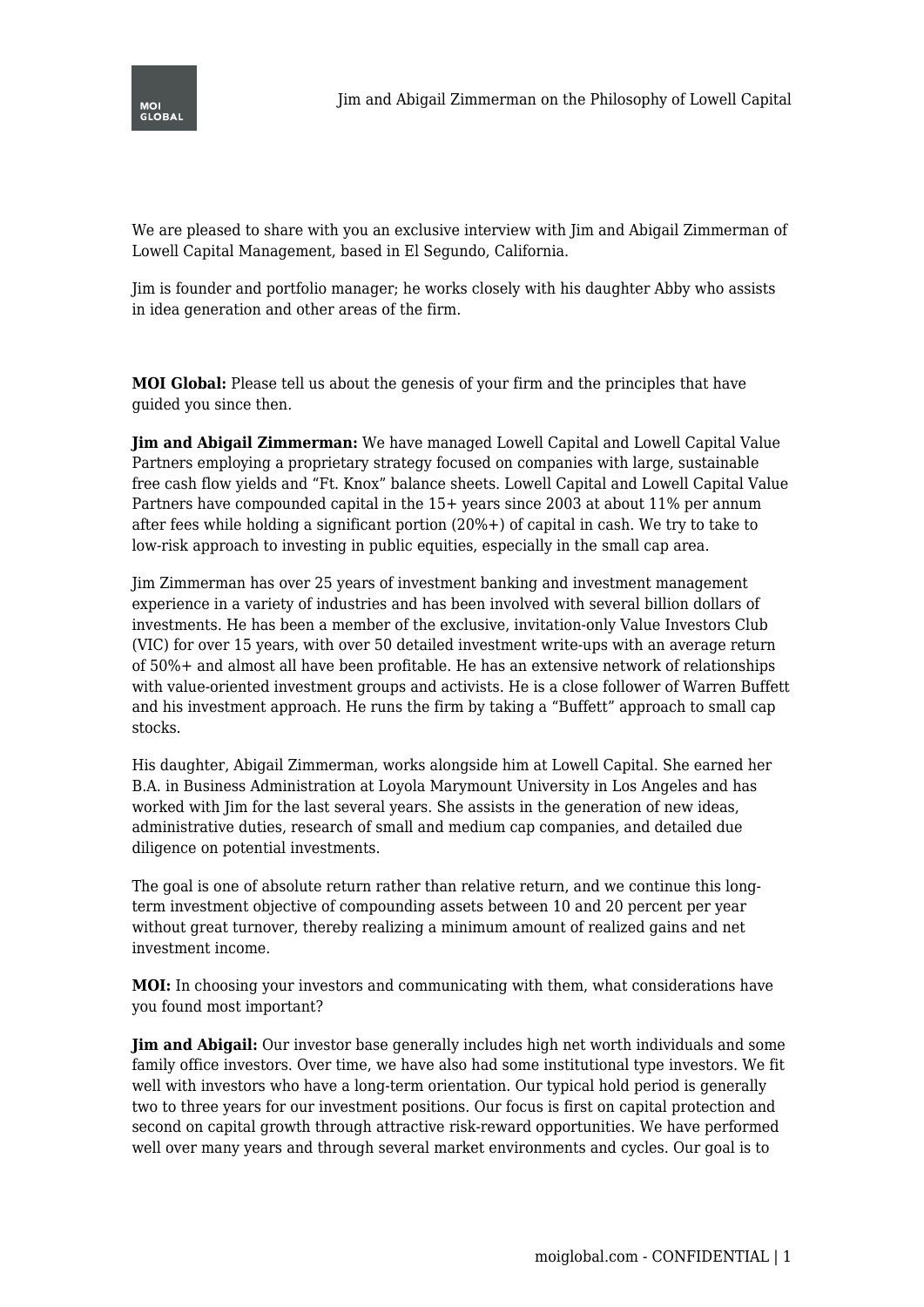

We are pleased to share with you an exclusive interview with Jim and Abigail Zimmerman of Lowell Capital Management, based in El Segundo, California.

Jim is founder and portfolio manager; he works closely with his daughter Abby who assists in idea generation and other areas of the firm.

**MOI Global:** Please tell us about the genesis of your firm and the principles that have guided you since then.

**Jim and Abigail Zimmerman:** We have managed Lowell Capital and Lowell Capital Value Partners employing a proprietary strategy focused on companies with large, sustainable free cash flow yields and "Ft. Knox" balance sheets. Lowell Capital and Lowell Capital Value Partners have compounded capital in the 15+ years since 2003 at about 11% per annum after fees while holding a significant portion (20%+) of capital in cash. We try to take to low-risk approach to investing in public equities, especially in the small cap area.

Jim Zimmerman has over 25 years of investment banking and investment management experience in a variety of industries and has been involved with several billion dollars of investments. He has been a member of the exclusive, invitation-only Value Investors Club (VIC) for over 15 years, with over 50 detailed investment write-ups with an average return of 50%+ and almost all have been profitable. He has an extensive network of relationships with value-oriented investment groups and activists. He is a close follower of Warren Buffett and his investment approach. He runs the firm by taking a "Buffett" approach to small cap stocks.

His daughter, Abigail Zimmerman, works alongside him at Lowell Capital. She earned her B.A. in Business Administration at Loyola Marymount University in Los Angeles and has worked with Jim for the last several years. She assists in the generation of new ideas, administrative duties, research of small and medium cap companies, and detailed due diligence on potential investments.

The goal is one of absolute return rather than relative return, and we continue this longterm investment objective of compounding assets between 10 and 20 percent per year without great turnover, thereby realizing a minimum amount of realized gains and net investment income.

**MOI:** In choosing your investors and communicating with them, what considerations have you found most important?

**Jim and Abigail:** Our investor base generally includes high net worth individuals and some family office investors. Over time, we have also had some institutional type investors. We fit well with investors who have a long-term orientation. Our typical hold period is generally two to three years for our investment positions. Our focus is first on capital protection and second on capital growth through attractive risk-reward opportunities. We have performed well over many years and through several market environments and cycles. Our goal is to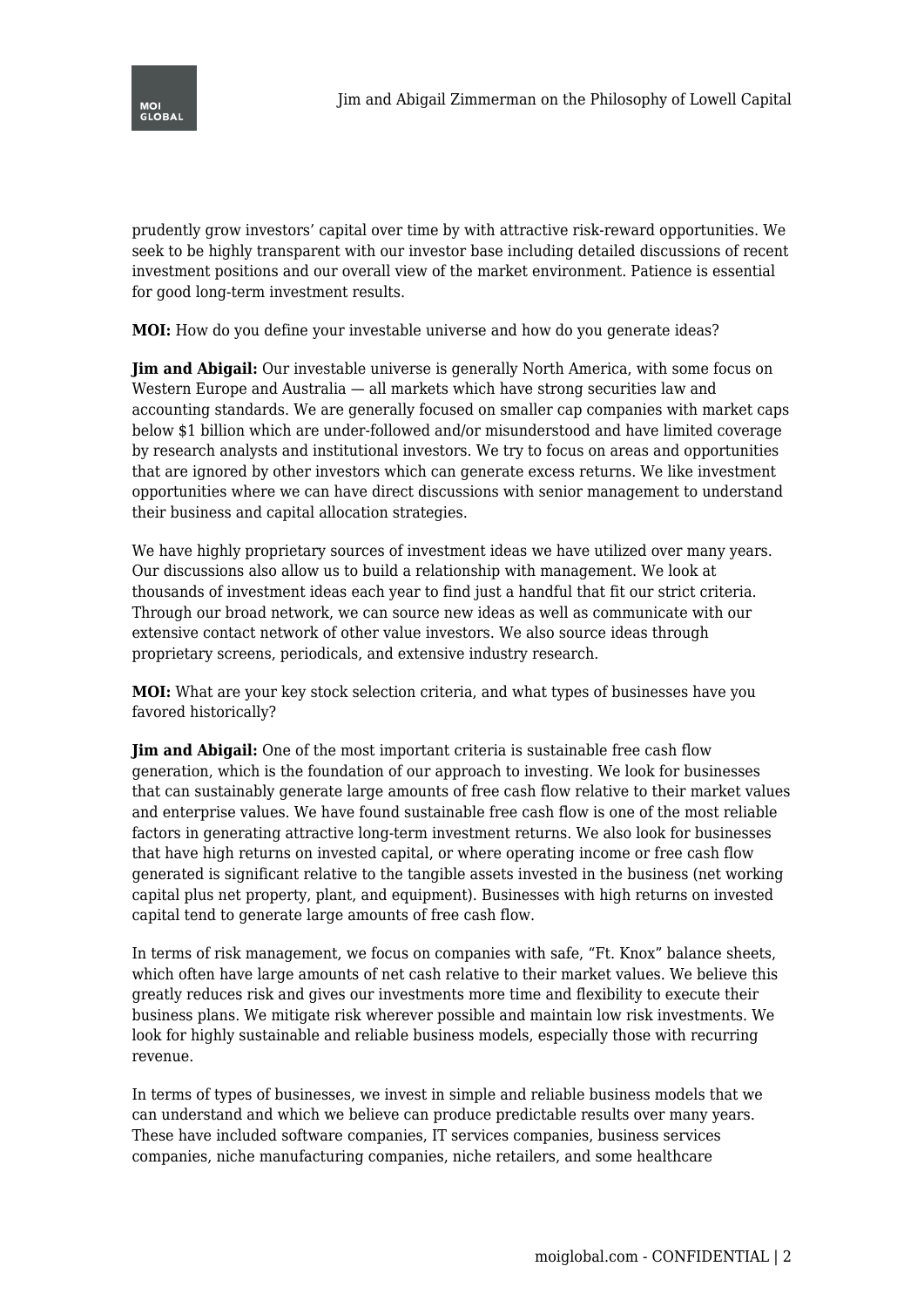

prudently grow investors' capital over time by with attractive risk-reward opportunities. We seek to be highly transparent with our investor base including detailed discussions of recent investment positions and our overall view of the market environment. Patience is essential for good long-term investment results.

**MOI:** How do you define your investable universe and how do you generate ideas?

**Jim and Abigail:** Our investable universe is generally North America, with some focus on Western Europe and Australia — all markets which have strong securities law and accounting standards. We are generally focused on smaller cap companies with market caps below \$1 billion which are under-followed and/or misunderstood and have limited coverage by research analysts and institutional investors. We try to focus on areas and opportunities that are ignored by other investors which can generate excess returns. We like investment opportunities where we can have direct discussions with senior management to understand their business and capital allocation strategies.

We have highly proprietary sources of investment ideas we have utilized over many years. Our discussions also allow us to build a relationship with management. We look at thousands of investment ideas each year to find just a handful that fit our strict criteria. Through our broad network, we can source new ideas as well as communicate with our extensive contact network of other value investors. We also source ideas through proprietary screens, periodicals, and extensive industry research.

**MOI:** What are your key stock selection criteria, and what types of businesses have you favored historically?

**Jim and Abigail:** One of the most important criteria is sustainable free cash flow generation, which is the foundation of our approach to investing. We look for businesses that can sustainably generate large amounts of free cash flow relative to their market values and enterprise values. We have found sustainable free cash flow is one of the most reliable factors in generating attractive long-term investment returns. We also look for businesses that have high returns on invested capital, or where operating income or free cash flow generated is significant relative to the tangible assets invested in the business (net working capital plus net property, plant, and equipment). Businesses with high returns on invested capital tend to generate large amounts of free cash flow.

In terms of risk management, we focus on companies with safe, "Ft. Knox" balance sheets, which often have large amounts of net cash relative to their market values. We believe this greatly reduces risk and gives our investments more time and flexibility to execute their business plans. We mitigate risk wherever possible and maintain low risk investments. We look for highly sustainable and reliable business models, especially those with recurring revenue.

In terms of types of businesses, we invest in simple and reliable business models that we can understand and which we believe can produce predictable results over many years. These have included software companies, IT services companies, business services companies, niche manufacturing companies, niche retailers, and some healthcare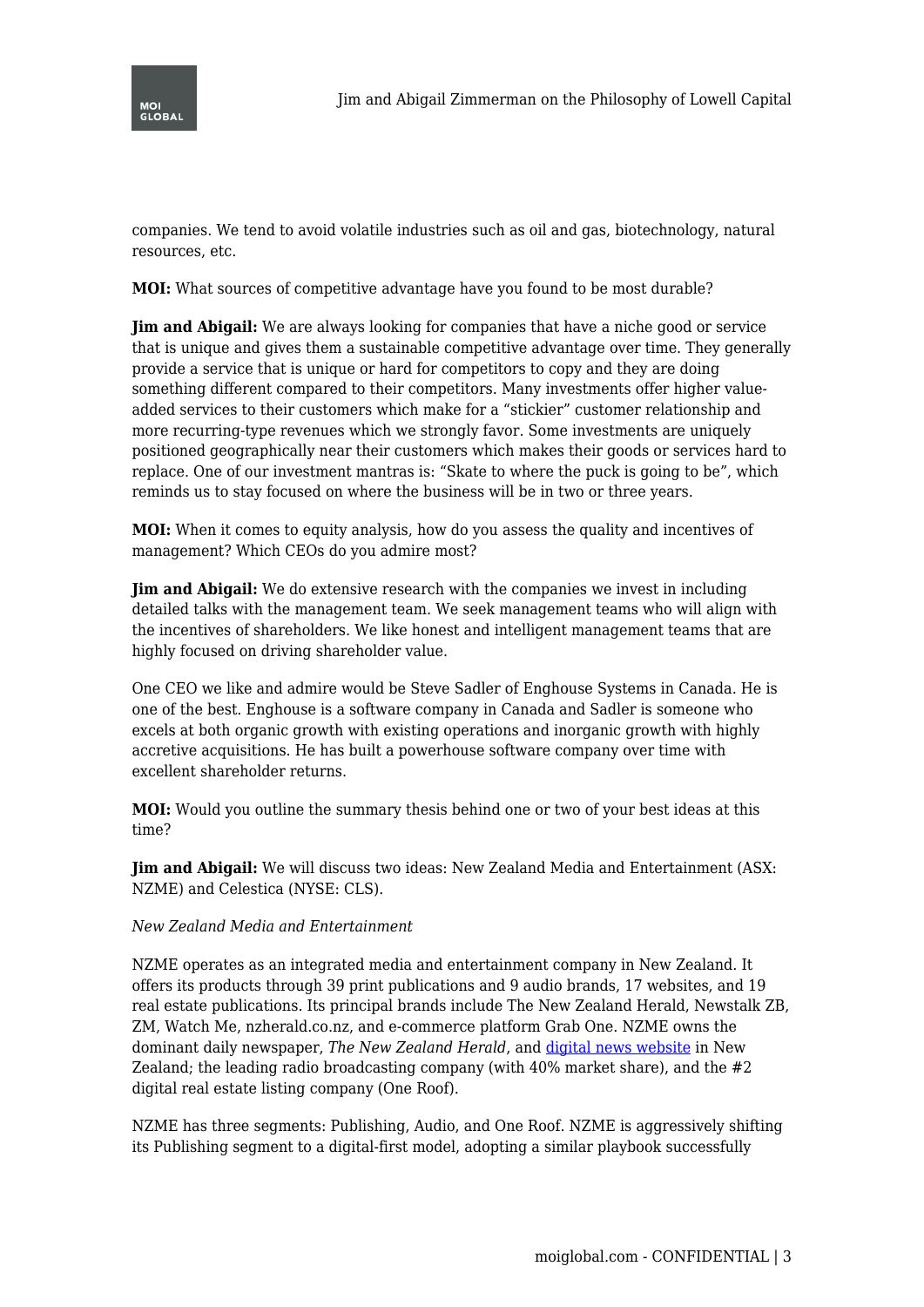

companies. We tend to avoid volatile industries such as oil and gas, biotechnology, natural resources, etc.

**MOI:** What sources of competitive advantage have you found to be most durable?

**Jim and Abigail:** We are always looking for companies that have a niche good or service that is unique and gives them a sustainable competitive advantage over time. They generally provide a service that is unique or hard for competitors to copy and they are doing something different compared to their competitors. Many investments offer higher valueadded services to their customers which make for a "stickier" customer relationship and more recurring-type revenues which we strongly favor. Some investments are uniquely positioned geographically near their customers which makes their goods or services hard to replace. One of our investment mantras is: "Skate to where the puck is going to be", which reminds us to stay focused on where the business will be in two or three years.

**MOI:** When it comes to equity analysis, how do you assess the quality and incentives of management? Which CEOs do you admire most?

**Jim and Abigail:** We do extensive research with the companies we invest in including detailed talks with the management team. We seek management teams who will align with the incentives of shareholders. We like honest and intelligent management teams that are highly focused on driving shareholder value.

One CEO we like and admire would be Steve Sadler of Enghouse Systems in Canada. He is one of the best. Enghouse is a software company in Canada and Sadler is someone who excels at both organic growth with existing operations and inorganic growth with highly accretive acquisitions. He has built a powerhouse software company over time with excellent shareholder returns.

**MOI:** Would you outline the summary thesis behind one or two of your best ideas at this time?

**Jim and Abigail:** We will discuss two ideas: New Zealand Media and Entertainment (ASX: NZME) and Celestica (NYSE: CLS).

## *New Zealand Media and Entertainment*

NZME operates as an integrated media and entertainment company in New Zealand. It offers its products through 39 print publications and 9 audio brands, 17 websites, and 19 real estate publications. Its principal brands include The New Zealand Herald, Newstalk ZB, ZM, Watch Me, nzherald.co.nz, and e-commerce platform Grab One. NZME owns the dominant daily newspaper, *The New Zealand Herald*, and [digital news website](https://www.nzherald.co.nz/) in New Zealand; the leading radio broadcasting company (with  $40\%$  market share), and the  $\#2$ digital real estate listing company (One Roof).

NZME has three segments: Publishing, Audio, and One Roof. NZME is aggressively shifting its Publishing segment to a digital-first model, adopting a similar playbook successfully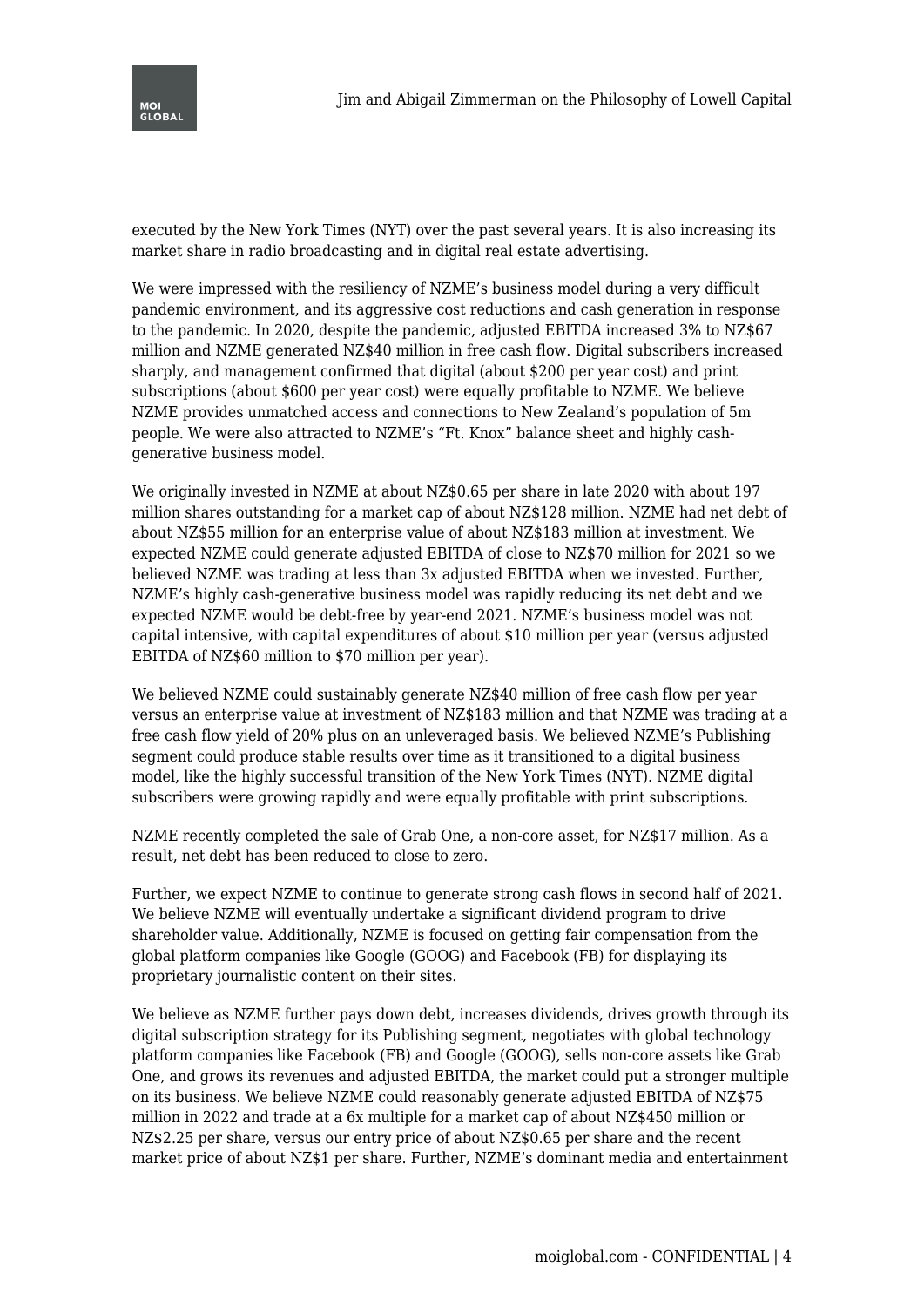

executed by the New York Times (NYT) over the past several years. It is also increasing its market share in radio broadcasting and in digital real estate advertising.

We were impressed with the resiliency of NZME's business model during a very difficult pandemic environment, and its aggressive cost reductions and cash generation in response to the pandemic. In 2020, despite the pandemic, adjusted EBITDA increased 3% to NZ\$67 million and NZME generated NZ\$40 million in free cash flow. Digital subscribers increased sharply, and management confirmed that digital (about \$200 per year cost) and print subscriptions (about \$600 per year cost) were equally profitable to NZME. We believe NZME provides unmatched access and connections to New Zealand's population of 5m people. We were also attracted to NZME's "Ft. Knox" balance sheet and highly cashgenerative business model.

We originally invested in NZME at about NZ\$0.65 per share in late 2020 with about 197 million shares outstanding for a market cap of about NZ\$128 million. NZME had net debt of about NZ\$55 million for an enterprise value of about NZ\$183 million at investment. We expected NZME could generate adjusted EBITDA of close to NZ\$70 million for 2021 so we believed NZME was trading at less than 3x adjusted EBITDA when we invested. Further, NZME's highly cash-generative business model was rapidly reducing its net debt and we expected NZME would be debt-free by year-end 2021. NZME's business model was not capital intensive, with capital expenditures of about \$10 million per year (versus adjusted EBITDA of NZ\$60 million to \$70 million per year).

We believed NZME could sustainably generate NZ\$40 million of free cash flow per year versus an enterprise value at investment of NZ\$183 million and that NZME was trading at a free cash flow yield of 20% plus on an unleveraged basis. We believed NZME's Publishing segment could produce stable results over time as it transitioned to a digital business model, like the highly successful transition of the New York Times (NYT). NZME digital subscribers were growing rapidly and were equally profitable with print subscriptions.

NZME recently completed the sale of Grab One, a non-core asset, for NZ\$17 million. As a result, net debt has been reduced to close to zero.

Further, we expect NZME to continue to generate strong cash flows in second half of 2021. We believe NZME will eventually undertake a significant dividend program to drive shareholder value. Additionally, NZME is focused on getting fair compensation from the global platform companies like Google (GOOG) and Facebook (FB) for displaying its proprietary journalistic content on their sites.

We believe as NZME further pays down debt, increases dividends, drives growth through its digital subscription strategy for its Publishing segment, negotiates with global technology platform companies like Facebook (FB) and Google (GOOG), sells non-core assets like Grab One, and grows its revenues and adjusted EBITDA, the market could put a stronger multiple on its business. We believe NZME could reasonably generate adjusted EBITDA of NZ\$75 million in 2022 and trade at a 6x multiple for a market cap of about NZ\$450 million or NZ\$2.25 per share, versus our entry price of about NZ\$0.65 per share and the recent market price of about NZ\$1 per share. Further, NZME's dominant media and entertainment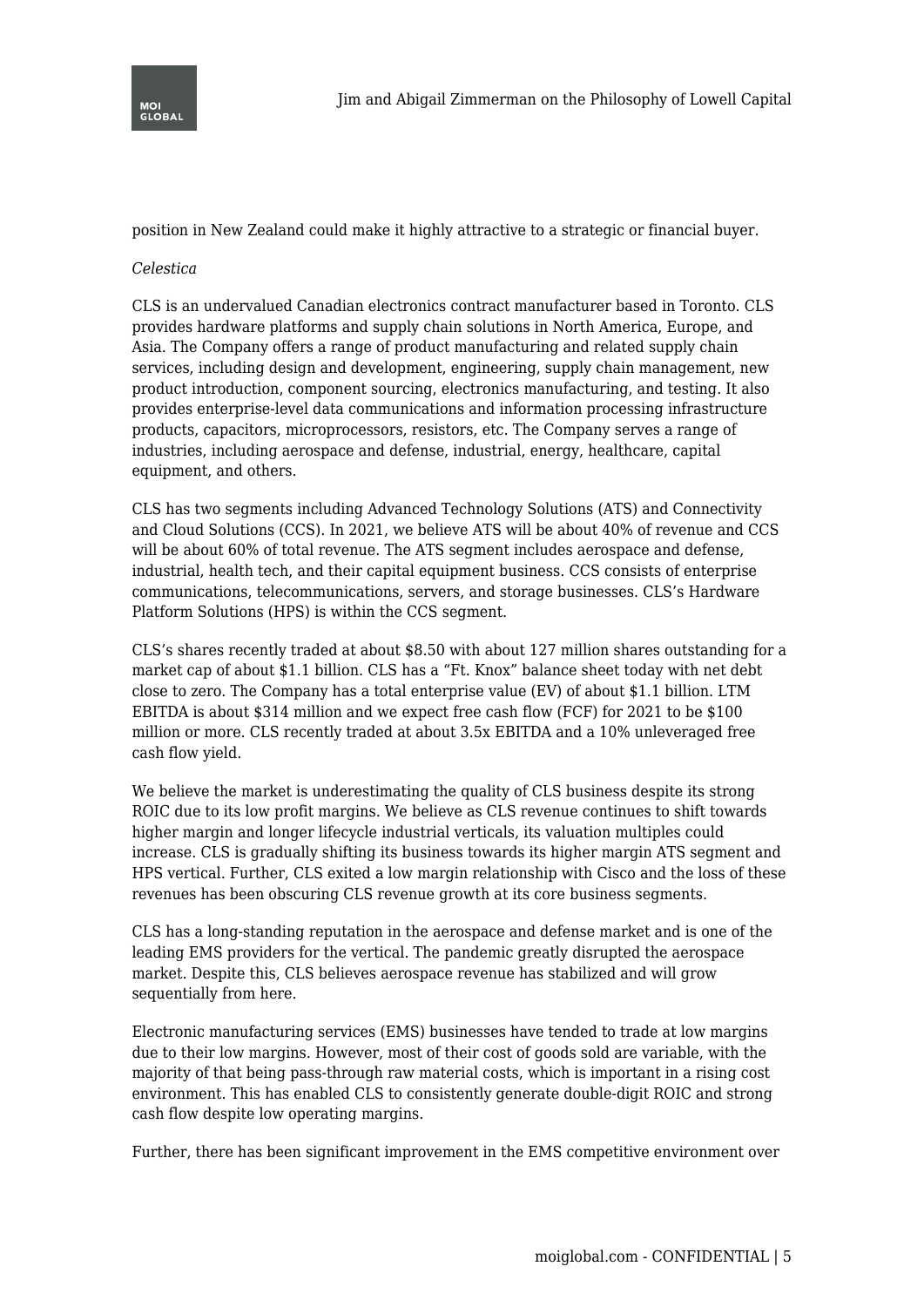

position in New Zealand could make it highly attractive to a strategic or financial buyer.

## *Celestica*

CLS is an undervalued Canadian electronics contract manufacturer based in Toronto. CLS provides hardware platforms and supply chain solutions in North America, Europe, and Asia. The Company offers a range of product manufacturing and related supply chain services, including design and development, engineering, supply chain management, new product introduction, component sourcing, electronics manufacturing, and testing. It also provides enterprise-level data communications and information processing infrastructure products, capacitors, microprocessors, resistors, etc. The Company serves a range of industries, including aerospace and defense, industrial, energy, healthcare, capital equipment, and others.

CLS has two segments including Advanced Technology Solutions (ATS) and Connectivity and Cloud Solutions (CCS). In 2021, we believe ATS will be about 40% of revenue and CCS will be about 60% of total revenue. The ATS segment includes aerospace and defense, industrial, health tech, and their capital equipment business. CCS consists of enterprise communications, telecommunications, servers, and storage businesses. CLS's Hardware Platform Solutions (HPS) is within the CCS segment.

CLS's shares recently traded at about \$8.50 with about 127 million shares outstanding for a market cap of about \$1.1 billion. CLS has a "Ft. Knox" balance sheet today with net debt close to zero. The Company has a total enterprise value (EV) of about \$1.1 billion. LTM EBITDA is about \$314 million and we expect free cash flow (FCF) for 2021 to be \$100 million or more. CLS recently traded at about 3.5x EBITDA and a 10% unleveraged free cash flow yield.

We believe the market is underestimating the quality of CLS business despite its strong ROIC due to its low profit margins. We believe as CLS revenue continues to shift towards higher margin and longer lifecycle industrial verticals, its valuation multiples could increase. CLS is gradually shifting its business towards its higher margin ATS segment and HPS vertical. Further, CLS exited a low margin relationship with Cisco and the loss of these revenues has been obscuring CLS revenue growth at its core business segments.

CLS has a long-standing reputation in the aerospace and defense market and is one of the leading EMS providers for the vertical. The pandemic greatly disrupted the aerospace market. Despite this, CLS believes aerospace revenue has stabilized and will grow sequentially from here.

Electronic manufacturing services (EMS) businesses have tended to trade at low margins due to their low margins. However, most of their cost of goods sold are variable, with the majority of that being pass-through raw material costs, which is important in a rising cost environment. This has enabled CLS to consistently generate double-digit ROIC and strong cash flow despite low operating margins.

Further, there has been significant improvement in the EMS competitive environment over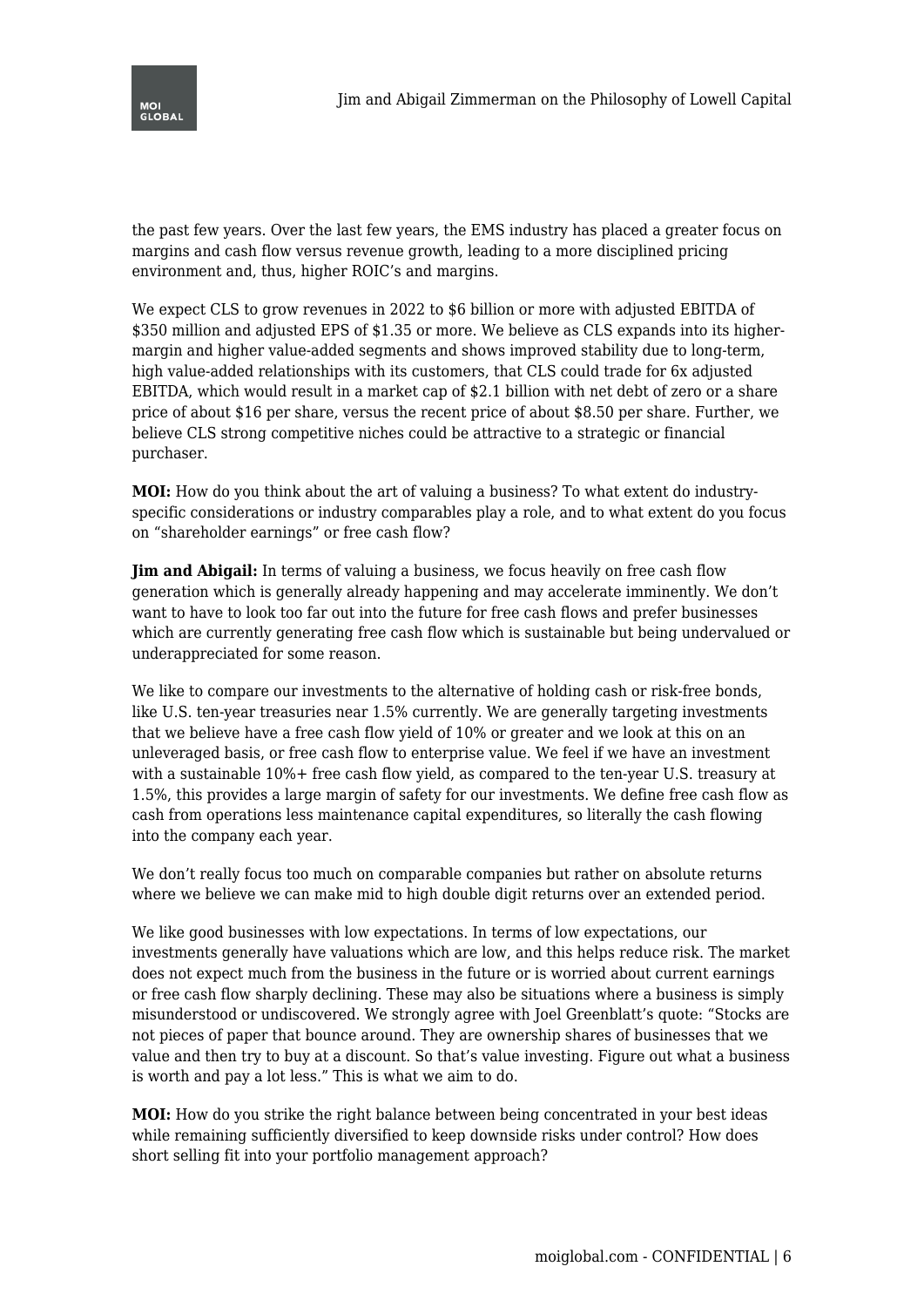

the past few years. Over the last few years, the EMS industry has placed a greater focus on margins and cash flow versus revenue growth, leading to a more disciplined pricing environment and, thus, higher ROIC's and margins.

We expect CLS to grow revenues in 2022 to \$6 billion or more with adjusted EBITDA of \$350 million and adjusted EPS of \$1.35 or more. We believe as CLS expands into its highermargin and higher value-added segments and shows improved stability due to long-term, high value-added relationships with its customers, that CLS could trade for 6x adjusted EBITDA, which would result in a market cap of \$2.1 billion with net debt of zero or a share price of about \$16 per share, versus the recent price of about \$8.50 per share. Further, we believe CLS strong competitive niches could be attractive to a strategic or financial purchaser.

**MOI:** How do you think about the art of valuing a business? To what extent do industryspecific considerations or industry comparables play a role, and to what extent do you focus on "shareholder earnings" or free cash flow?

**Jim and Abigail:** In terms of valuing a business, we focus heavily on free cash flow generation which is generally already happening and may accelerate imminently. We don't want to have to look too far out into the future for free cash flows and prefer businesses which are currently generating free cash flow which is sustainable but being undervalued or underappreciated for some reason.

We like to compare our investments to the alternative of holding cash or risk-free bonds, like U.S. ten-year treasuries near 1.5% currently. We are generally targeting investments that we believe have a free cash flow yield of 10% or greater and we look at this on an unleveraged basis, or free cash flow to enterprise value. We feel if we have an investment with a sustainable  $10\%$ + free cash flow yield, as compared to the ten-year U.S. treasury at 1.5%, this provides a large margin of safety for our investments. We define free cash flow as cash from operations less maintenance capital expenditures, so literally the cash flowing into the company each year.

We don't really focus too much on comparable companies but rather on absolute returns where we believe we can make mid to high double digit returns over an extended period.

We like good businesses with low expectations. In terms of low expectations, our investments generally have valuations which are low, and this helps reduce risk. The market does not expect much from the business in the future or is worried about current earnings or free cash flow sharply declining. These may also be situations where a business is simply misunderstood or undiscovered. We strongly agree with Joel Greenblatt's quote: "Stocks are not pieces of paper that bounce around. They are ownership shares of businesses that we value and then try to buy at a discount. So that's value investing. Figure out what a business is worth and pay a lot less." This is what we aim to do.

**MOI:** How do you strike the right balance between being concentrated in your best ideas while remaining sufficiently diversified to keep downside risks under control? How does short selling fit into your portfolio management approach?